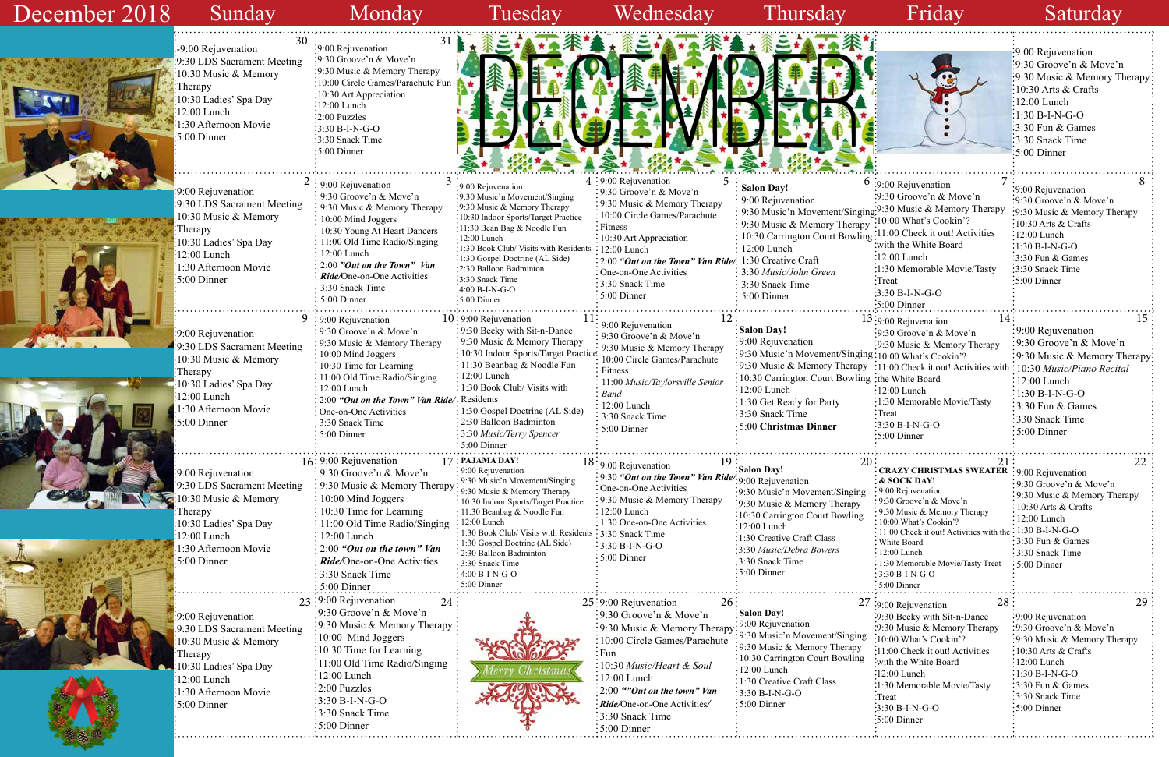## Sunday Monday Tuesday Wednesday Thursday Friday Saturday  $\frac{30}{30}$   $\frac{30}{30}$   $\frac{31}{30}$  $2:9.00$  Rejuvenation  $3:9.00$  Rejuvenation  $3:9.00$  Rejuvenation  $3:9.00$  Rejuvenation  $4:9.20$   $\infty$   $5:$ <br>Salon Day!  $9:9:00$  Rejuvenation  $10:9:00$  Rejuvenation  $11:9:00$  Rejuvenation  $12:1:9:00$  Rejuvenation  $13:9:00$  Rejuvenation  $14:15$  $16: 9:00$  Rejuvenation  $17:$  PAJAMA DAY!<br>  $16: 9:00$  Rejuvenation  $17: 20:$ <br>  $18:9:00$  Rejuvenation  $19:$  Salon Day!<br>  $20:$  Salon Day! 9:00 Rejuvenation 9:30 Groove'n & Move'n 9:30 Music & Memory Therapy 10:00 Mind Joggers 10:30 Young At Heart Dancers 11:00 Old Time Radio/Singing 12:00 Lunch 2:00 *"Out on the Town" Van Ride/*One-on-One Activities 3:30 Snack Time 5:00 Dinner 9:00 Rejuvenation 9:30 LDS Sacrament Meeting 10:30 Music & Memory Therapy 10:30 Ladies' Spa Day 12:00 Lunch 1:30 Afternoon Movie 5:00 Dinner 9:00 Rejuvenation 9:30 Music'n Movement/Singing 9:30 Music & Memory Therapy 10:30 Indoor Sports/Target Practice 11:30 Bean Bag & Noodle Fun 12:00 Lunch 1:30 Book Club/ Visits with Residents 1:30 Gospel Doctrine (AL Side) 2:30 Balloon Badminton 3:30 Snack Time 4:00 B-I-N-G-O 5:00 Dinner  $10:9:00$  Rejuvenation 9:30 Becky with Sit-n-Dance 9:30 Music & Memory Therapy 10:30 Indoor Sports/Target Practice 11:30 Beanbag & Noodle Fun 12:00 Lunch 1:30 Book Club/ Visits with 2:00 "Out on the Town" Van Ride/: Residents 1:30 Gospel Doctrine (AL Side) 2:30 Balloon Badminton 3:30 *Music/Terry Spencer* 5:00 Dinner **Salon Day!** 9:00 Rejuvenation 9:30 Music'n Movement/Sing  $\frac{1}{2}$ 9:30 Music & Memory Thera 10:30 Carrington Court Bowl 12:00 Lunch 1:30 Get Ready for Party 3:30 Snack Time 5:00 **Christmas Dinner Salon Day!** 9:00 Rejuvenation 9:30 Music'n Movement/Sing 9:30 Music & Memory Thera 10:30 Carrington Court Bowl 12:00 Lunch 2:00 "Out on the Town" Van Ride/ 1:30 Creative Craft 3:30 *Music/John Green* 3:30 Snack Time 5:00 Dinner 9:00 Rejuvenation 9:30 LDS Sacrament Meeting 10:30 Music & Memory Therapy 0:30 Ladies' Spa Day 12:00 Lunch 1:30 Afternoon Movie 5:00 Dinner 9:00 Rejuvenation 9:30 LDS Sacrament Meeting 0:30 Music & Memory **Therapy** 10:30 Ladies' Spa Day 12:00 Lunch 1:30 Afternoon Movie 5:00 Dinner 9:00 Rejuvenation 9:30 LDS Sacrament Meeting 10:30 Music & Memory Therapy 10:30 Ladies' Spa Day 12:00 Lunch 1:30 Afternoon Movie 5:00 Dinner 9:00 Rejuvenation 9:30 Groove'n & Move'n 9:30 Music & Memory Therapy 10:00 Circle Games/Parachute Fitness 11:00 *Music/Taylorsville Senior Band* 12:00 Lunch 3:30 Snack Time 5:00 Dinner  $9:9:00$  Rejuvenation 9:30 Groove'n & Move'n 9:30 Music & Memory Therapy 10:00 Mind Joggers 10:30 Time for Learning 11:00 Old Time Radio/Singing 12:00 Lunch One-on-One Activities 3:30 Snack Time 5:00 Dinner 9:00 Rejuvenation 9:30 Groove'n & Move'n 9:30 Music & Memory Therapy  $:10:00$  Mind Joggers 10:30 Time for Learning 11:00 Old Time Radio/Singing 12:00 Lunch 2:00 Puzzles 3:30 B-I-N-G-O 3:30 Snack Time 5:00 Dinner 16: 9:00 Rejuvenation 9:30 Groove'n & Move'n 9:30 Music & Memory Therapy 10:00 Mind Joggers 10:30 Time for Learning 11:00 Old Time Radio/Singing 12:00 Lunch 2:00 *"Out on the town" Van Ride/*One-on-One Activities 3:30 Snack Time 5:00 Dinner 23 24 25 26 27 28 29  $4:9:00$  Rejuvenation 9:30 Groove'n & Move'n 9:30 Music & Memory Therapy 10:00 Circle Games/Parachute Fitness 10:30 Art Appreciation : 12:00 Lunch One-on-One Activities 3:30 Snack Time 5:00 Dinner  $18:9:00$  Rejuvenation 9:30 *"Out on the Town" Van Ride/* 9:00 Rejuvenation One-on-One Activities 9:30 Music & Memory Therapy 12:00 Lunch 1:30 One-on-One Activities 3:30 Snack Time  $\frac{3:30 \text{ B-I-N-G-O}}{2}$ 5:00 Dinner **PAJAMA DAY!** 9:00 Rejuvenation 9:30 Music'n Movement/Singing 9:30 Music & Memory Therapy 10:30 Indoor Sports/Target Practice 11:30 Beanbag & Noodle Fun 12:00 Lunch 1:30 Book Club/ Visits with Reside 1:30 Gospel Doctrine (AL Side) 2:30 Balloon Badminton 3:30 Snack Time 4:00 B-I-N-G-O 5:00 Dinner December 2018  $25:9:00$  Rejuvenation 9:30 Groove'n & Move'n 9:30 Music & Memory Therapy 10:00 Circle Games/Parachute Fun 10:30 *Music/Heart & Soul* 12:00 Lunch 2:00 *""Out on the town" Van Ride/*One-on-One Activities*/* 3:30 Snack Time 5:00 Dinner **Salon Day!**  9:00 Rejuvenation 9:30 Music'n Movement/Singin 9:30 Music & Memory Therapy : 10:30 Carrington Court Bowlin : 12:00 Lunch : 1:30 Creative Craft Class 3:30 B-I-N-G-O 5:00 Dinner **Salon Day!** :9:30 Music'n Movement/Singin 9:30 Music & Memory Therapy 10:30 Carrington Court Bowling 12:00 Lunch 1:30 Creative Craft Class 3:30 *Music/Debra Bowers* 3:30 Snack Time 5:00 Dinner -9:00 Rejuvenation 9:30 LDS Sacrament Meeting 10:30 Music & Memory Therapy 10:30 Ladies' Spa Day 12:00 Lunch 1:30 Afternoon Movie 5:00 Dinner 9:00 Rejuvenation 9:30 Groove'n & Move'n 9:30 Music & Memory Therapy 10:00 Circle Games/Parachute Fun 10:30 Art Appreciation 12:00 Lunch 2:00 Puzzles  $\frac{1}{3}$ :30 B-I-N-G-O 3:30 Snack Time 5:00 Dinner



|              |                                                          | :9:00 Rejuvenation             |
|--------------|----------------------------------------------------------|--------------------------------|
|              |                                                          | :9:30 Groove'n & Move'n        |
|              |                                                          | 9:30 Music & Memory Therapy    |
|              |                                                          | $-10:30$ Arts & Crafts         |
|              |                                                          | $12:00$ Lunch                  |
|              |                                                          | <sup>:</sup> 1:30 B-I-N-G-O    |
|              |                                                          | $\frac{1}{3}$ :30 Fun & Games  |
|              |                                                          | 3:30 Snack Time                |
|              |                                                          | $5:00$ Dinner                  |
|              |                                                          |                                |
|              |                                                          |                                |
|              | 7<br>$6:9:00$ Rejuvenation                               | 8<br>9:00 Rejuvenation         |
|              | :9:30 Groove'n & Move'n                                  | 9:30 Groove'n & Move'n         |
|              | ging: <sup>9:30</sup> Music & Memory Therapy             | 9:30 Music & Memory Therapy    |
| $_{\rm 1py}$ | :10:00 What's Cookin'?                                   | 10:30 Arts & Crafts            |
| $\lim g$     | :11:00 Check it out! Activities                          | 12:00 Lunch                    |
|              | with the White Board:                                    | 1:30 B-I-N-G-O                 |
|              | $:12:00$ Lunch                                           | 3:30 Fun & Games               |
|              | :1:30 Memorable Movie/Tasty                              | 3:30 Snack Time                |
|              | Treat <sup>.</sup>                                       | 5:00 Dinner                    |
|              | $3:30 B-I-N-G-O$                                         |                                |
|              | :5:00 Dinner                                             |                                |
|              | 14<br>13:9:00 Rejuvenation                               | 15                             |
|              | :9:30 Groove'n & Move'n                                  | 9:00 Rejuvenation              |
|              | :9:30 Music & Memory Therapy                             | 9:30 Groove'n & Move'n         |
|              | ging:10:00 What's Cookin'?                               | 9:30 Music & Memory Therapy    |
|              | py :11:00 Check it out! Activities with :                | 10:30 Music/Piano Recital      |
|              | ing: the White Board                                     | $12:00$ Lunch                  |
|              | $:12:00$ Lunch                                           | 1:30 B-I-N-G-O                 |
|              | 1:30 Memorable Movie/Tasty                               | 3:30 Fun & Games               |
|              | Treat <sup>:</sup>                                       | 330 Snack Time                 |
|              | 3:30 B-I-N-G-O                                           | 5:00 Dinner                    |
|              | $:5:00$ Dinner                                           |                                |
|              |                                                          |                                |
| 20           | 21                                                       | 22                             |
|              | <b>CRAZY CHRISTMAS SWEATER</b>                           | $\frac{1}{2}9:00$ Rejuvenation |
|              | & SOCK DAY!<br>: 9:00 Rejuvenation                       | 9:30 Groove'n & Move'n         |
| ng           | 9:30 Groove'n & Move'n                                   | 9:30 Music & Memory Therapy    |
|              | 9:30 Music & Memory Therapy                              | 10:30 Arts & Crafts            |
| ıg           | 10:00 What's Cookin'?                                    | 12:00 Lunch                    |
|              | 11:00 Check it out! Activities with the : 1:30 B-I-N-G-O |                                |
|              | White Board                                              | 3:30 Fun & Games               |
|              | 12:00 Lunch<br>1:30 Memorable Movie/Tasty Treat          | 3:30 Snack Time<br>5:00 Dinner |
|              | 3:30 B-I-N-G-O                                           |                                |
|              | 5:00 Dinner                                              |                                |
|              |                                                          |                                |
|              | 28<br>27 :9:00 Rejuvenation                              | 29                             |
|              | :9:30 Becky with Sit-n-Dance                             | :9:00 Rejuvenation             |
|              | :9:30 Music & Memory Therapy                             | :9:30 Groove'n & Move'n        |
| ng           | :10:00 What's Cookin'?                                   | 9:30 Music & Memory Therapy    |
| y            | :11:00 Check it out! Activities                          | 10:30 Arts & Crafts            |
| ıg           | with the White Board:                                    | :12:00 Lunch                   |
|              | $:12:00$ Lunch                                           | :1:30 B-I-N-G-O                |
|              | :1:30 Memorable Movie/Tasty                              | $-3:30$ Fun & Games            |
|              | Treat:                                                   | 3:30 Snack Time                |
|              | :3:30 B-I-N-G-O                                          | 5:00 Dinner                    |
|              | :5:00 Dinner                                             |                                |
|              |                                                          |                                |